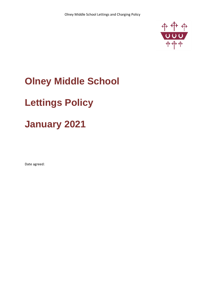

## **Olney Middle School**

# **Lettings Policy**

## **January 2021**

Date agreed: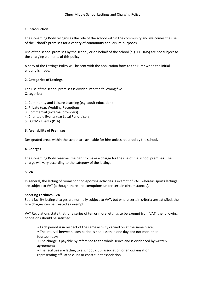## **1. Introduction**

The Governing Body recognises the role of the school within the community and welcomes the use of the School's premises for a variety of community and leisure purposes.

Use of the school premises by the school, or on behalf of the school (e.g. FOOMS) are not subject to the charging elements of this policy.

A copy of the Lettings Policy will be sent with the application form to the Hirer when the initial enquiry is made.

## **2. Categories of Lettings**

The use of the school premises is divided into the following five Categories:

- 1. Community and Leisure Learning (e.g. adult education)
- 2. Private (e.g. Wedding Receptions)
- 3. Commercial (external providers)
- 4. Charitable Events (e.g Local Fundraisers)
- 5. FOOMs Events (PTA)

### **3. Availability of Premises**

Designated areas within the school are available for hire unless required by the school.

## **4. Charges**

The Governing Body reserves the right to make a charge for the use of the school premises. The charge will vary according to the category of the letting.

## **5. VAT**

In general, the letting of rooms for non-sporting activities is exempt of VAT, whereas sports lettings are subject to VAT (although there are exemptions under certain circumstances).

### **Sporting Facilities - VAT**

Sport facility letting charges are normally subject to VAT, but where certain criteria are satisfied, the hire charges can be treated as exempt.

VAT Regulations state that for a series of ten or more lettings to be exempt from VAT, the following conditions should be satisfied:

- Each period is in respect of the same activity carried on at the same place;
- The interval between each period is not less than one day and not more than fourteen days;
- The charge is payable by reference to the whole series and is evidenced by written agreement;
- The facilities are letting to a school, club, association or an organisation representing affiliated clubs or constituent association.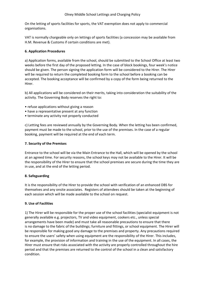On the letting of sports facilities for sports, the VAT exemption does not apply to commercial organisations.

VAT is normally chargeable only on lettings of sports facilities (a concession may be available from H.M. Revenue & Customs if certain conditions are met).

## **6. Application Procedures**

a) Application forms, available from the school, should be submitted to the School Office at least two weeks before the first day of the proposed letting. In the case of block bookings, four week's notice should be given. The person signing the application form will be considered to the Hirer. The Hirer will be required to return the completed booking form to the school before a booking can be accepted. The booking acceptance will be confirmed by a copy of the form being returned to the Hirer.

b) All applications will be considered on their merits, taking into consideration the suitability of the activity. The Governing Body reserves the right to:

- refuse applications without giving a reason
- have a representative present at any function
- terminate any activity not properly conducted

c) Letting fees are reviewed annually by the Governing Body. When the letting has been confirmed, payment must be made to the school, prior to the use of the premises. In the case of a regular booking, payment will be required at the end of each term.

## **7. Security of the Premises**

Entrance to the school will be via the Main Entrance to the Hall, which will be opened by the school at an agreed time. For security reasons, the school keys may not be available to the Hirer. It will be the responsibility of the Hirer to ensure that the school premises are secure during the time they are in use, and at the end of the letting period.

## **8. Safeguarding**

It is the responsibility of the Hirer to provide the school with verification of an enhanced DBS for themselves and any onsite associates. Registers of attendees should be taken at the beginning of each session which will be made available to the school on request.

## **9. Use of Facilities**

1) The Hirer will be responsible for the proper use of the school facilities (specialist equipment is not generally available e.g. projectors, TV and video equipment, cookers etc., unless special arrangements have been made) and must take all reasonable precautions to ensure that there is no damage to the fabric of the buildings; furniture and fittings, or school equipment. The Hirer will be responsible for making good any damage to the premises and property. Any precautions required to ensure the users' safety when using equipment are the responsibility of the Hirer. This includes, for example, the provision of information and training in the use of the equipment. In all cases, the Hirer must ensure that risks associated with the activity are properly controlled throughout the hire period and that the premises are returned to the control of the school in a clean and satisfactory condition.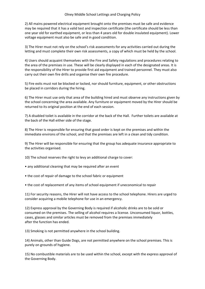2) All mains powered electrical equipment brought onto the premises must be safe and evidence may be required that it has a valid test and inspection certificate (the certificate should be less than one year old for earthed equipment, or less than 4 years old for double insulated equipment). Lower voltage equipment must also be safe and in good condition.

3) The Hirer must not rely on the school's risk assessments for any activities carried out during the letting and must complete their own risk assessments, a copy of which must be held by the school.

4) Users should acquaint themselves with the Fire and Safety regulations and procedures relating to the area of the premises in use. These will be clearly displayed in each of the designated areas. It is the responsibility of the Hirer to provide first aid equipment and trained personnel. They must also carry out their own fire drills and organise their own fire procedure.

5) Fire exits must not be blocked or locked, nor should furniture, equipment, or other obstructions be placed in corridors during the hiring.

6) The Hirer must use only that area of the building hired and must observe any instructions given by the school concerning the area available. Any furniture or equipment moved by the Hirer should be returned to its original position at the end of each session.

7) A disabled toilet is available in the corridor at the back of the Hall. Further toilets are available at the back of the Hall either side of the stage.

8) The Hirer is responsible for ensuring that good order is kept on the premises and within the immediate environs of the school, and that the premises are left in a clean and tidy condition.

9) The Hirer will be responsible for ensuring that the group has adequate insurance appropriate to the activities organised.

10) The school reserves the right to levy an additional charge to cover:

- any additional cleaning that may be required after an event
- the cost of repair of damage to the school fabric or equipment
- the cost of replacement of any items of school equipment if uneconomical to repair

11) For security reasons, the Hirer will not have access to the school telephone. Hirers are urged to consider acquiring a mobile telephone for use in an emergency.

12) Express approval by the Governing Body is required if alcoholic drinks are to be sold or consumed on the premises. The selling of alcohol requires a license. Unconsumed liquor, bottles, cases, glasses and similar articles must be removed from the premises immediately after the function has ended.

13) Smoking is not permitted anywhere in the school building.

14) Animals, other than Guide Dogs, are not permitted anywhere on the school premises. This is purely on grounds of hygiene.

15) No combustible materials are to be used within the school, except with the express approval of the Governing Body.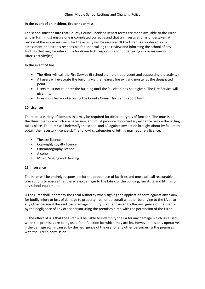## **In the event of an incident, fire or near miss**

The school must ensure that County Council Incident Report forms are made available to the Hirer, who in turn, must ensure one is completed correctly and that an investigation is undertaken. A review of the risk assessment for the activity will be required. If the Hirer has produced a risk assessment, the hirer is responsible for undertaking the review and informing the school of any findings that may be relevant. Schools are NOT responsible for undertaking risk assessments for Hirer's activity(ies).

## **In the event of fire**

- The Hirer will call the Fire Service (if school staff are not present and supporting the activity)
- All users will evacuate the building via the nearest fire exit and muster at the designated point.
- Users must not re-enter the building until the 'all clear' has been given. The Fire Service will give this.
- Fires must be reported using the County Council Incident Report form.

### **10. Licenses**

There are a variety of licences that may be required for different types of function. The onus is on the Hirer to ensure which are necessary, and must produce documentary evidence before the letting takes place. The Hirer will indemnify the school and LA against any action brought about by failure to obtain the necessary licence(s). The following categories of letting may require a licence:

- Theatre licence
- Copyright/Royalty licence
- Cinematography licence
- Alcohol
- Music, Singing and Dancing

### **11. Insurance**

The Hirer will be entirely responsible for the proper use of facilities and must take all reasonable precautions to ensure that there is no damage to the fabric of the building, furniture and fittings or any school equipment.

i) The Hirer shall indemnify the Local Authority when signing the application form against any claim for bodily injury or loss of damage to property (real or personal) whether belonging to the LA or to any other person if the said loss, damage or injury is either caused by the negligence of the user or by the negligence of any other person using the premises hired with the permission of the Hirer.

ii) The effect of i) is that the Hirer will be liable to indemnify the LA for any damage which is caused when the premises are being used for a function for which they are let. However, it is only operative if the damage etc. is caused by the negligence of the user or any other person using the premises with the Hirer's permission.